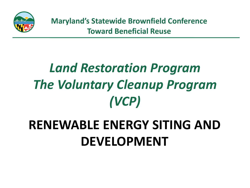

# *Land Restoration Program The Voluntary Cleanup Program (VCP)*

## **RENEWABLE ENERGY SITING AND DEVELOPMENT**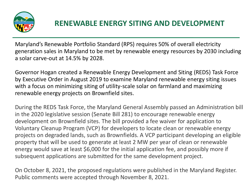

#### **RENEWABLE ENERGY SITING AND DEVELOPMENT**

Maryland's Renewable Portfolio Standard (RPS) requires 50% of overall electricity generation sales in Maryland to be met by renewable energy resources by 2030 including a solar carve-out at 14.5% by 2028.

Governor Hogan created a Renewable Energy Development and Siting (REDS) Task Force by Executive Order in August 2019 to examine Maryland renewable energy siting issues with a focus on minimizing siting of utility-scale solar on farmland and maximizing renewable energy projects on Brownfield sites.

During the REDS Task Force, the Maryland General Assembly passed an Administration bill in the 2020 legislative session (Senate Bill 281) to encourage renewable energy development on Brownfield sites. The bill provided a fee waiver for application to Voluntary Cleanup Program (VCP) for developers to locate clean or renewable energy projects on degraded lands, such as Brownfields. A VCP participant developing an eligible property that will be used to generate at least 2 MW per year of clean or renewable energy would save at least \$6,000 for the initial application fee, and possibly more if subsequent applications are submitted for the same development project.

On October 8, 2021, the proposed regulations were published in the Maryland Register. Public comments were accepted through November 8, 2021.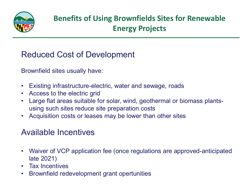

### **Benefits of Using Brownfields Sites for Renewable Energy Projects**

Reduced Cost of Development

Brownfield sites usually have:

- Existing infrastructure-electric, water and sewage, roads
- Access to the electric grid
- Large flat areas suitable for solar, wind, geothermal or biomass plantsusing such sites reduce site preparation costs
- Acquisition costs or leases may be lower than other sites

#### Available Incentives

- Waiver of VCP application fee (once regulations are approved-anticipated late 2021)
- Tax Incentives
- Brownfield redevelopment grant opertunities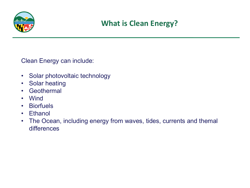

Clean Energy can include:

- Solar photovoltaic technology
- Solar heating
- Geothermal
- Wind
- Biorfuels
- Ethanol
- The Ocean, including energy from waves, tides, currents and themal differences